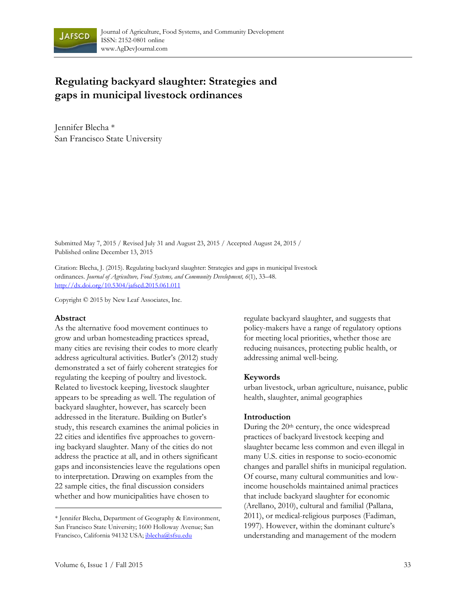

# **Regulating backyard slaughter: Strategies and gaps in municipal livestock ordinances**

Jennifer Blecha \* San Francisco State University

Submitted May 7, 2015 / Revised July 31 and August 23, 2015 / Accepted August 24, 2015 / Published online December 13, 2015

Citation: Blecha, J. (2015). Regulating backyard slaughter: Strategies and gaps in municipal livestock ordinances. *Journal of Agriculture, Food Systems, and Community Development, 6*(1), 33–48. http://dx.doi.org/10.5304/jafscd.2015.061.011

Copyright © 2015 by New Leaf Associates, Inc.

#### **Abstract**

As the alternative food movement continues to grow and urban homesteading practices spread, many cities are revising their codes to more clearly address agricultural activities. Butler's (2012) study demonstrated a set of fairly coherent strategies for regulating the keeping of poultry and livestock. Related to livestock keeping, livestock slaughter appears to be spreading as well. The regulation of backyard slaughter, however, has scarcely been addressed in the literature. Building on Butler's study, this research examines the animal policies in 22 cities and identifies five approaches to governing backyard slaughter. Many of the cities do not address the practice at all, and in others significant gaps and inconsistencies leave the regulations open to interpretation. Drawing on examples from the 22 sample cities, the final discussion considers whether and how municipalities have chosen to

regulate backyard slaughter, and suggests that policy-makers have a range of regulatory options for meeting local priorities, whether those are reducing nuisances, protecting public health, or addressing animal well-being.

#### **Keywords**

urban livestock, urban agriculture, nuisance, public health, slaughter, animal geographies

#### **Introduction**

During the 20th century, the once widespread practices of backyard livestock keeping and slaughter became less common and even illegal in many U.S. cities in response to socio-economic changes and parallel shifts in municipal regulation. Of course, many cultural communities and lowincome households maintained animal practices that include backyard slaughter for economic (Arellano, 2010), cultural and familial (Pallana, 2011), or medical-religious purposes (Fadiman, 1997). However, within the dominant culture's understanding and management of the modern

<sup>\*</sup> Jennifer Blecha, Department of Geography & Environment, San Francisco State University; 1600 Holloway Avenue; San Francisco, California 94132 USA; *iblecha@sfsu.edu*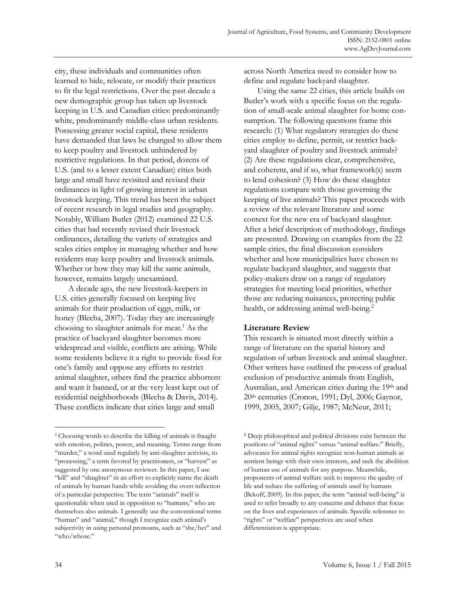city, these individuals and communities often learned to hide, relocate, or modify their practices to fit the legal restrictions. Over the past decade a new demographic group has taken up livestock keeping in U.S. and Canadian cities: predominantly white, predominantly middle-class urban residents. Possessing greater social capital, these residents have demanded that laws be changed to allow them to keep poultry and livestock unhindered by restrictive regulations. In that period, dozens of U.S. (and to a lesser extent Canadian) cities both large and small have revisited and revised their ordinances in light of growing interest in urban livestock keeping. This trend has been the subject of recent research in legal studies and geography. Notably, William Butler (2012) examined 22 U.S. cities that had recently revised their livestock ordinances, detailing the variety of strategies and scales cities employ in managing whether and how residents may keep poultry and livestock animals. Whether or how they may kill the same animals, however, remains largely unexamined.

 A decade ago, the new livestock-keepers in U.S. cities generally focused on keeping live animals for their production of eggs, milk, or honey (Blecha, 2007). Today they are increasingly choosing to slaughter animals for meat.<sup>1</sup> As the practice of backyard slaughter becomes more widespread and visible, conflicts are arising. While some residents believe it a right to provide food for one's family and oppose any efforts to restrict animal slaughter, others find the practice abhorrent and want it banned, or at the very least kept out of residential neighborhoods (Blecha & Davis, 2014). These conflicts indicate that cities large and small

across North America need to consider how to define and regulate backyard slaughter.

 Using the same 22 cities, this article builds on Butler's work with a specific focus on the regulation of small-scale animal slaughter for home consumption. The following questions frame this research: (1) What regulatory strategies do these cities employ to define, permit, or restrict backyard slaughter of poultry and livestock animals? (2) Are these regulations clear, comprehensive, and coherent, and if so, what framework(s) seem to lend cohesion? (3) How do these slaughter regulations compare with those governing the keeping of live animals? This paper proceeds with a review of the relevant literature and some context for the new era of backyard slaughter. After a brief description of methodology, findings are presented. Drawing on examples from the 22 sample cities, the final discussion considers whether and how municipalities have chosen to regulate backyard slaughter, and suggests that policy-makers draw on a range of regulatory strategies for meeting local priorities, whether those are reducing nuisances, protecting public health, or addressing animal well-being.<sup>2</sup>

#### **Literature Review**

This research is situated most directly within a range of literature on the spatial history and regulation of urban livestock and animal slaughter. Other writers have outlined the process of gradual exclusion of productive animals from English, Australian, and American cities during the 19th and 20th centuries (Cronon, 1991; Dyl, 2006; Gaynor, 1999, 2005, 2007; Gilje, 1987; McNeur, 2011;

<sup>&</sup>lt;sup>1</sup> Choosing words to describe the killing of animals is fraught with emotion, politics, power, and meaning. Terms range from "murder," a word used regularly by anti-slaughter activists, to "processing," a term favored by practitioners, or "harvest" as suggested by one anonymous reviewer. In this paper, I use "kill" and "slaughter" in an effort to explicitly name the death of animals by human hands while avoiding the overt inflection of a particular perspective. The term "animals" itself is questionable when used in opposition to "humans," who are themselves also animals. I generally use the conventional terms "human" and "animal," though I recognize each animal's subjectivity in using personal pronouns, such as "she/her" and "who/whose."

<sup>2</sup> Deep philosophical and political divisions exist between the positions of "animal rights" versus "animal welfare." Briefly, advocates for animal rights recognize non-human animals as sentient beings with their own interests, and seek the abolition of human use of animals for any purpose. Meanwhile, proponents of animal welfare seek to improve the quality of life and reduce the suffering of animals used by humans (Bekoff, 2009). In this paper, the term "animal well-being" is used to refer broadly to any concerns and debates that focus on the lives and experiences of animals. Specific reference to "rights" or "welfare" perspectives are used when differentiation is appropriate.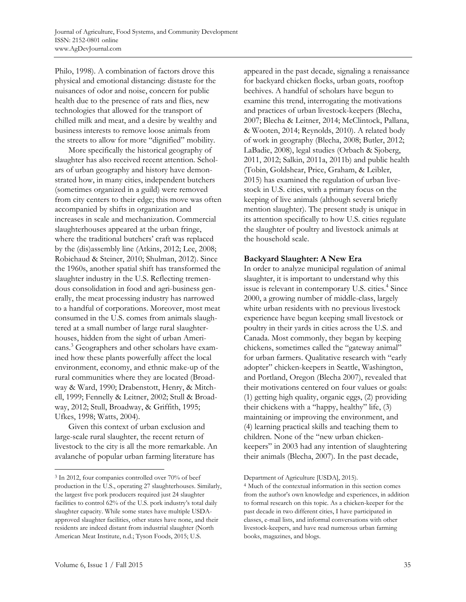Philo, 1998). A combination of factors drove this physical and emotional distancing: distaste for the nuisances of odor and noise, concern for public health due to the presence of rats and flies, new technologies that allowed for the transport of chilled milk and meat, and a desire by wealthy and business interests to remove loose animals from the streets to allow for more "dignified" mobility.

 More specifically the historical geography of slaughter has also received recent attention. Scholars of urban geography and history have demonstrated how, in many cities, independent butchers (sometimes organized in a guild) were removed from city centers to their edge; this move was often accompanied by shifts in organization and increases in scale and mechanization. Commercial slaughterhouses appeared at the urban fringe, where the traditional butchers' craft was replaced by the (dis)assembly line (Atkins, 2012; Lee, 2008; Robichaud & Steiner, 2010; Shulman, 2012). Since the 1960s, another spatial shift has transformed the slaughter industry in the U.S. Reflecting tremendous consolidation in food and agri-business generally, the meat processing industry has narrowed to a handful of corporations. Moreover, most meat consumed in the U.S. comes from animals slaughtered at a small number of large rural slaughterhouses, hidden from the sight of urban Americans.<sup>3</sup> Geographers and other scholars have examined how these plants powerfully affect the local environment, economy, and ethnic make-up of the rural communities where they are located (Broadway & Ward, 1990; Drabenstott, Henry, & Mitchell, 1999; Fennelly & Leitner, 2002; Stull & Broadway, 2012; Stull, Broadway, & Griffith, 1995; Ufkes, 1998; Watts, 2004).

 Given this context of urban exclusion and large-scale rural slaughter, the recent return of livestock to the city is all the more remarkable. An avalanche of popular urban farming literature has

appeared in the past decade, signaling a renaissance for backyard chicken flocks, urban goats, rooftop beehives. A handful of scholars have begun to examine this trend, interrogating the motivations and practices of urban livestock-keepers (Blecha, 2007; Blecha & Leitner, 2014; McClintock, Pallana, & Wooten, 2014; Reynolds, 2010). A related body of work in geography (Blecha, 2008; Butler, 2012; LaBadie, 2008), legal studies (Orbach & Sjoberg, 2011, 2012; Salkin, 2011a, 2011b) and public health (Tobin, Goldshear, Price, Graham, & Leibler, 2015) has examined the regulation of urban livestock in U.S. cities, with a primary focus on the keeping of live animals (although several briefly mention slaughter). The present study is unique in its attention specifically to how U.S. cities regulate the slaughter of poultry and livestock animals at the household scale.

### **Backyard Slaughter: A New Era**

In order to analyze municipal regulation of animal slaughter, it is important to understand why this issue is relevant in contemporary U.S. cities.<sup>4</sup> Since 2000, a growing number of middle-class, largely white urban residents with no previous livestock experience have begun keeping small livestock or poultry in their yards in cities across the U.S. and Canada. Most commonly, they began by keeping chickens, sometimes called the "gateway animal" for urban farmers. Qualitative research with "early adopter" chicken-keepers in Seattle, Washington, and Portland, Oregon (Blecha 2007), revealed that their motivations centered on four values or goals: (1) getting high quality, organic eggs, (2) providing their chickens with a "happy, healthy" life, (3) maintaining or improving the environment, and (4) learning practical skills and teaching them to children. None of the "new urban chickenkeepers" in 2003 had any intention of slaughtering their animals (Blecha, 2007). In the past decade,

<sup>3</sup> In 2012, four companies controlled over 70% of beef production in the U.S., operating 27 slaughterhouses. Similarly, the largest five pork producers required just 24 slaughter facilities to control 62% of the U.S. pork industry's total daily slaughter capacity. While some states have multiple USDAapproved slaughter facilities, other states have none, and their residents are indeed distant from industrial slaughter (North American Meat Institute, n.d.; Tyson Foods, 2015; U.S.

Department of Agriculture [USDA], 2015).

<sup>4</sup> Much of the contextual information in this section comes from the author's own knowledge and experiences, in addition to formal research on this topic. As a chicken-keeper for the past decade in two different cities, I have participated in classes, e-mail lists, and informal conversations with other livestock-keepers, and have read numerous urban farming books, magazines, and blogs.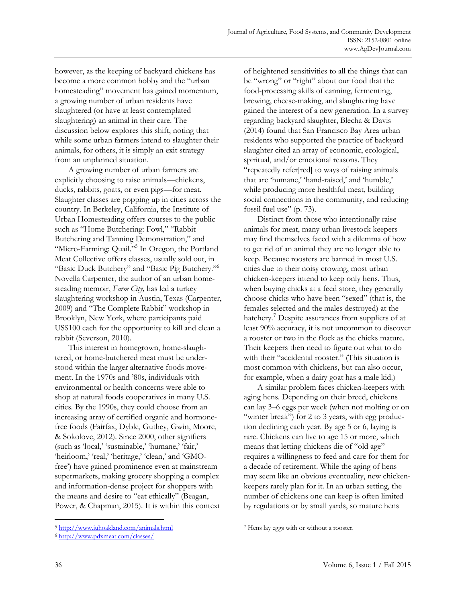however, as the keeping of backyard chickens has become a more common hobby and the "urban homesteading" movement has gained momentum, a growing number of urban residents have slaughtered (or have at least contemplated slaughtering) an animal in their care. The discussion below explores this shift, noting that while some urban farmers intend to slaughter their animals, for others, it is simply an exit strategy from an unplanned situation.

 A growing number of urban farmers are explicitly choosing to raise animals—chickens, ducks, rabbits, goats, or even pigs—for meat. Slaughter classes are popping up in cities across the country. In Berkeley, California, the Institute of Urban Homesteading offers courses to the public such as "Home Butchering: Fowl," "Rabbit Butchering and Tanning Demonstration," and "Micro-Farming: Quail."<sup>5</sup> In Oregon, the Portland Meat Collective offers classes, usually sold out, in "Basic Duck Butchery" and "Basic Pig Butchery."6 Novella Carpenter, the author of an urban homesteading memoir, *Farm City,* has led a turkey slaughtering workshop in Austin, Texas (Carpenter, 2009) and "The Complete Rabbit" workshop in Brooklyn, New York, where participants paid US\$100 each for the opportunity to kill and clean a rabbit (Severson, 2010).

 This interest in homegrown, home-slaughtered, or home-butchered meat must be understood within the larger alternative foods movement. In the 1970s and '80s, individuals with environmental or health concerns were able to shop at natural foods cooperatives in many U.S. cities. By the 1990s, they could choose from an increasing array of certified organic and hormonefree foods (Fairfax, Dyble, Guthey, Gwin, Moore, & Sokolove, 2012). Since 2000, other signifiers (such as 'local,' 'sustainable,' 'humane,' 'fair,' 'heirloom,' 'real,' 'heritage,' 'clean,' and 'GMOfree') have gained prominence even at mainstream supermarkets, making grocery shopping a complex and information-dense project for shoppers with the means and desire to "eat ethically" (Beagan, Power, & Chapman, 2015). It is within this context of heightened sensitivities to all the things that can be "wrong" or "right" about our food that the food-processing skills of canning, fermenting, brewing, cheese-making, and slaughtering have gained the interest of a new generation. In a survey regarding backyard slaughter, Blecha & Davis (2014) found that San Francisco Bay Area urban residents who supported the practice of backyard slaughter cited an array of economic, ecological, spiritual, and/or emotional reasons. They "repeatedly refer[red] to ways of raising animals that are 'humane,' 'hand-raised,' and 'humble,' while producing more healthful meat, building social connections in the community, and reducing fossil fuel use" (p. 73).

 Distinct from those who intentionally raise animals for meat, many urban livestock keepers may find themselves faced with a dilemma of how to get rid of an animal they are no longer able to keep. Because roosters are banned in most U.S. cities due to their noisy crowing, most urban chicken-keepers intend to keep only hens. Thus, when buying chicks at a feed store, they generally choose chicks who have been "sexed" (that is, the females selected and the males destroyed) at the hatchery.<sup>7</sup> Despite assurances from suppliers of at least 90% accuracy, it is not uncommon to discover a rooster or two in the flock as the chicks mature. Their keepers then need to figure out what to do with their "accidental rooster." (This situation is most common with chickens, but can also occur, for example, when a dairy goat has a male kid.)

 A similar problem faces chicken-keepers with aging hens. Depending on their breed, chickens can lay 3–6 eggs per week (when not molting or on "winter break") for 2 to 3 years, with egg production declining each year. By age 5 or 6, laying is rare. Chickens can live to age 15 or more, which means that letting chickens die of "old age" requires a willingness to feed and care for them for a decade of retirement. While the aging of hens may seem like an obvious eventuality, new chickenkeepers rarely plan for it. In an urban setting, the number of chickens one can keep is often limited by regulations or by small yards, so mature hens

<sup>5</sup> http://www.iuhoakland.com/animals.html

<sup>6</sup> http://www.pdxmeat.com/classes/

<sup>7</sup> Hens lay eggs with or without a rooster.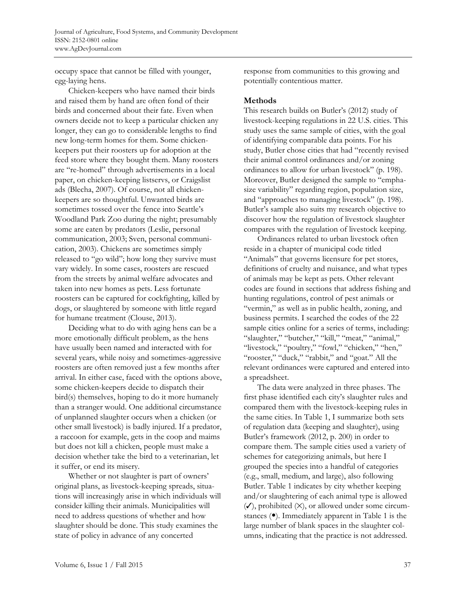occupy space that cannot be filled with younger, egg-laying hens.

 Chicken-keepers who have named their birds and raised them by hand are often fond of their birds and concerned about their fate. Even when owners decide not to keep a particular chicken any longer, they can go to considerable lengths to find new long-term homes for them. Some chickenkeepers put their roosters up for adoption at the feed store where they bought them. Many roosters are "re-homed" through advertisements in a local paper, on chicken-keeping listservs, or Craigslist ads (Blecha, 2007). Of course, not all chickenkeepers are so thoughtful. Unwanted birds are sometimes tossed over the fence into Seattle's Woodland Park Zoo during the night; presumably some are eaten by predators (Leslie, personal communication, 2003; Sven, personal communication, 2003). Chickens are sometimes simply released to "go wild"; how long they survive must vary widely. In some cases, roosters are rescued from the streets by animal welfare advocates and taken into new homes as pets. Less fortunate roosters can be captured for cockfighting, killed by dogs, or slaughtered by someone with little regard for humane treatment (Clouse, 2013).

 Deciding what to do with aging hens can be a more emotionally difficult problem, as the hens have usually been named and interacted with for several years, while noisy and sometimes-aggressive roosters are often removed just a few months after arrival. In either case, faced with the options above, some chicken-keepers decide to dispatch their bird(s) themselves, hoping to do it more humanely than a stranger would. One additional circumstance of unplanned slaughter occurs when a chicken (or other small livestock) is badly injured. If a predator, a raccoon for example, gets in the coop and maims but does not kill a chicken, people must make a decision whether take the bird to a veterinarian, let it suffer, or end its misery.

 Whether or not slaughter is part of owners' original plans, as livestock-keeping spreads, situations will increasingly arise in which individuals will consider killing their animals. Municipalities will need to address questions of whether and how slaughter should be done. This study examines the state of policy in advance of any concerted

response from communities to this growing and potentially contentious matter.

#### **Methods**

This research builds on Butler's (2012) study of livestock-keeping regulations in 22 U.S. cities. This study uses the same sample of cities, with the goal of identifying comparable data points. For his study, Butler chose cities that had "recently revised their animal control ordinances and/or zoning ordinances to allow for urban livestock" (p. 198). Moreover, Butler designed the sample to "emphasize variability" regarding region, population size, and "approaches to managing livestock" (p. 198). Butler's sample also suits my research objective to discover how the regulation of livestock slaughter compares with the regulation of livestock keeping.

 Ordinances related to urban livestock often reside in a chapter of municipal code titled "Animals" that governs licensure for pet stores, definitions of cruelty and nuisance, and what types of animals may be kept as pets. Other relevant codes are found in sections that address fishing and hunting regulations, control of pest animals or "vermin," as well as in public health, zoning, and business permits. I searched the codes of the 22 sample cities online for a series of terms, including: "slaughter," "butcher," "kill," "meat," "animal," "livestock," "poultry," "fowl," "chicken," "hen," "rooster," "duck," "rabbit," and "goat." All the relevant ordinances were captured and entered into a spreadsheet.

 The data were analyzed in three phases. The first phase identified each city's slaughter rules and compared them with the livestock-keeping rules in the same cities. In Table 1, I summarize both sets of regulation data (keeping and slaughter), using Butler's framework (2012, p. 200) in order to compare them. The sample cities used a variety of schemes for categorizing animals, but here I grouped the species into a handful of categories (e.g., small, medium, and large), also following Butler. Table 1 indicates by city whether keeping and/or slaughtering of each animal type is allowed  $(V)$ , prohibited  $(X)$ , or allowed under some circumstances (•). Immediately apparent in Table 1 is the large number of blank spaces in the slaughter columns, indicating that the practice is not addressed.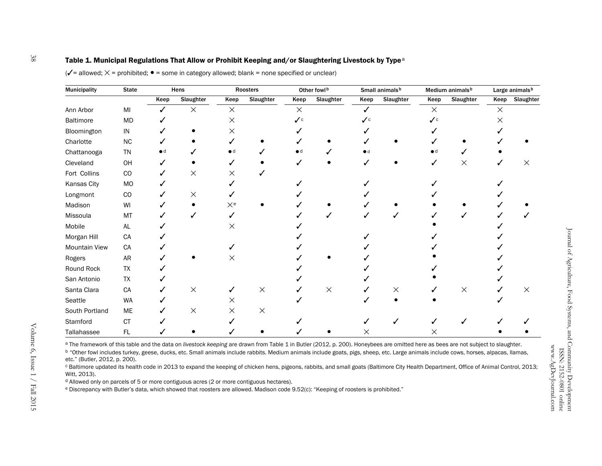#### Table 1. Municipal Regulations That Allow or Prohibit Keeping and/or Slaughtering Livestock by Type<sup>a</sup>

| Municipality   | <b>State</b>  | Hens |           | Roosters         |           | Other fowlb                |           | Small animals <sup>b</sup>  |           | Medium animals <sup>b</sup> |           | Large animals <sup>b</sup> |           |
|----------------|---------------|------|-----------|------------------|-----------|----------------------------|-----------|-----------------------------|-----------|-----------------------------|-----------|----------------------------|-----------|
|                |               | Keep | Slaughter | Keep             | Slaughter | Keep                       | Slaughter | Keep                        | Slaughter | Keep                        | Slaughter | Keep                       | Slaughter |
| Ann Arbor      | $\mathsf{MI}$ |      | $\times$  | $\times$         |           | $\times$                   |           |                             |           | $\times$                    |           | $\times$                   |           |
| Baltimore      | MD            |      |           | ×                |           | $\mathcal{V}^{\mathsf{c}}$ |           | $\mathcal{L}_{\mathcal{C}}$ |           | ✓∊                          |           | X                          |           |
| Bloomington    | ${\sf IN}$    |      |           | X                |           |                            |           |                             |           |                             |           |                            |           |
| Charlotte      | $NC$          |      |           |                  |           |                            |           |                             |           |                             |           |                            |           |
| Chattanooga    | TN            |      |           | $\bullet$ d      |           |                            |           |                             |           |                             |           |                            |           |
| Cleveland      | OH            |      |           |                  |           |                            |           |                             |           |                             | $\times$  |                            | Х         |
| Fort Collins   | CO            |      | $\times$  | X                |           |                            |           |                             |           |                             |           |                            |           |
| Kansas City    | MO            |      |           |                  |           |                            |           |                             |           |                             |           |                            |           |
| Longmont       | $_{\rm CO}$   |      | $\times$  |                  |           |                            |           |                             |           |                             |           |                            |           |
| Madison        | WI            |      |           | $\times^{\rm e}$ |           |                            |           |                             |           |                             |           |                            |           |
| Missoula       | MT            |      |           |                  |           |                            |           |                             |           |                             |           |                            |           |
| Mobile         | $\mathsf{AL}$ |      |           | X                |           |                            |           |                             |           |                             |           |                            |           |
| Morgan Hill    | CA            |      |           |                  |           |                            |           |                             |           |                             |           |                            |           |
| Mountain View  | CA            |      |           |                  |           |                            |           |                             |           |                             |           |                            |           |
| Rogers         | <b>AR</b>     |      |           | X                |           |                            |           |                             |           |                             |           |                            |           |
| Round Rock     | TX            |      |           |                  |           |                            |           |                             |           |                             |           |                            |           |
| San Antonio    | TX            |      |           |                  |           |                            |           |                             |           |                             |           |                            |           |
| Santa Clara    | CA            |      | $\times$  |                  | $\times$  |                            | $\times$  |                             | ×         |                             | $\times$  |                            | $\times$  |
| Seattle        | WA            |      |           | X                |           |                            |           |                             |           |                             |           |                            |           |
| South Portland | ME            |      | $\times$  | X                | $\times$  |                            |           |                             |           |                             |           |                            |           |
| Stamford       | CT            |      |           |                  |           |                            |           |                             |           |                             |           |                            |           |
| Tallahassee    | FL            |      |           |                  |           |                            |           | Χ                           |           |                             |           |                            |           |

 $(\checkmark$  = allowed;  $\times$  = prohibited;  $\bullet$  = some in category allowed; blank = none specified or unclear)

a The framework of this table and the data on *livestock keeping* are drawn from Table 1 in Butler (2012, p. 200). Honeybees are omitted here as bees are not subject to slaughter.

b "Other fowl includes turkey, geese, ducks, etc. Small animals include rabbits. Medium animals include goats, pigs, sheep, etc. Large animals include cows, horses, alpacas, llamas, etc." (Butler, 2012, p. 200).

c Baltimore updated its health code in 2013 to expand the keeping of chicken hens, pigeons, rabbits, and small goats (Baltimore City Health Department, Office of Animal Control, 2013; Witt, 2013).

 $d$  Allowed only on parcels of 5 or more contiguous acres (2 or more contiguous hectares).

e Discrepancy with Butler's data, which showed that roosters are allowed. Madison code 9.52(c): "Keeping of roosters is prohibited."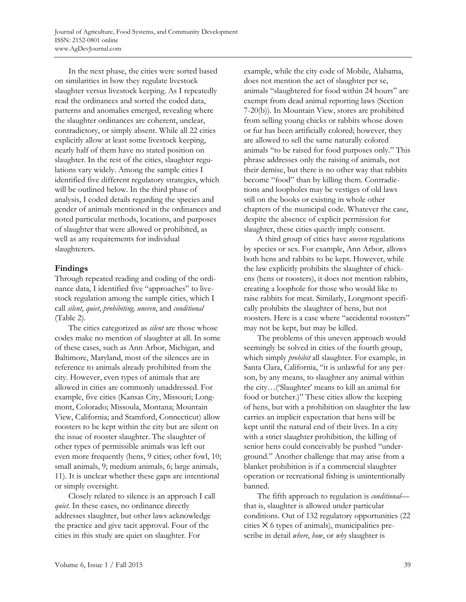In the next phase, the cities were sorted based on similarities in how they regulate livestock slaughter versus livestock keeping. As I repeatedly read the ordinances and sorted the coded data, patterns and anomalies emerged, revealing where the slaughter ordinances are coherent, unclear, contradictory, or simply absent. While all 22 cities explicitly allow at least some livestock keeping, nearly half of them have no stated position on slaughter. In the rest of the cities, slaughter regulations vary widely. Among the sample cities I identified five different regulatory strategies, which will be outlined below. In the third phase of analysis, I coded details regarding the species and gender of animals mentioned in the ordinances and noted particular methods, locations, and purposes of slaughter that were allowed or prohibited, as well as any requirements for individual slaughterers.

### **Findings**

Through repeated reading and coding of the ordinance data, I identified five "approaches" to livestock regulation among the sample cities, which I call *silent*, *quiet*, *prohibiting, uneven*, and *conditional* (Table 2).

 The cities categorized as *silent* are those whose codes make no mention of slaughter at all. In some of these cases, such as Ann Arbor, Michigan, and Baltimore, Maryland, most of the silences are in reference to animals already prohibited from the city. However, even types of animals that are allowed in cities are commonly unaddressed. For example, five cities (Kansas City, Missouri; Longmont, Colorado; Missoula, Montana; Mountain View, California; and Stamford, Connecticut) allow roosters to be kept within the city but are silent on the issue of rooster slaughter. The slaughter of other types of permissible animals was left out even more frequently (hens, 9 cities; other fowl, 10; small animals, 9; medium animals, 6; large animals, 11). It is unclear whether these gaps are intentional or simply oversight.

 Closely related to silence is an approach I call *quiet*. In these cases, no ordinance directly addresses slaughter, but other laws acknowledge the practice and give tacit approval. Four of the cities in this study are quiet on slaughter. For

example, while the city code of Mobile, Alabama, does not mention the act of slaughter per se, animals "slaughtered for food within 24 hours" are exempt from dead animal reporting laws (Section 7-20(b)). In Mountain View, stores are prohibited from selling young chicks or rabbits whose down or fur has been artificially colored; however, they are allowed to sell the same naturally colored animals "to be raised for food purposes only." This phrase addresses only the raising of animals, not their demise, but there is no other way that rabbits become "food" than by killing them. Contradictions and loopholes may be vestiges of old laws still on the books or existing in whole other chapters of the municipal code. Whatever the case, despite the absence of explicit permission for slaughter, these cities quietly imply consent.

 A third group of cities have *uneven* regulations by species or sex. For example, Ann Arbor, allows both hens and rabbits to be kept. However, while the law explicitly prohibits the slaughter of chickens (hens or roosters), it does not mention rabbits, creating a loophole for those who would like to raise rabbits for meat. Similarly, Longmont specifically prohibits the slaughter of hens, but not roosters. Here is a case where "accidental roosters" may not be kept, but may be killed.

 The problems of this uneven approach would seemingly be solved in cities of the fourth group, which simply *prohibit* all slaughter. For example, in Santa Clara, California, "it is unlawful for any person, by any means, to slaughter any animal within the city…('Slaughter' means to kill an animal for food or butcher.)" These cities allow the keeping of hens, but with a prohibition on slaughter the law carries an implicit expectation that hens will be kept until the natural end of their lives. In a city with a strict slaughter prohibition, the killing of senior hens could conceivably be pushed "underground." Another challenge that may arise from a blanket prohibition is if a commercial slaughter operation or recreational fishing is unintentionally banned.

 The fifth approach to regulation is *conditional* that is, slaughter is allowed under particular conditions. Out of 132 regulatory opportunities (22  $c$ ities  $\times$  6 types of animals), municipalities prescribe in detail *where*, *how*, or *why* slaughter is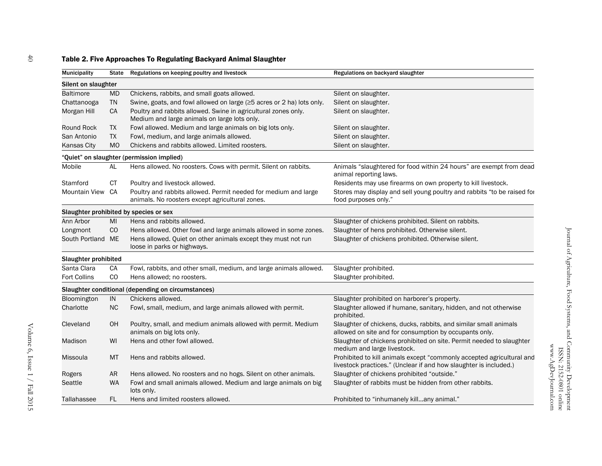## Table 2. Five Approaches To Regulating Backyard Animal Slaughter

| Municipality         | State          | Regulations on keeping poultry and livestock                                                                       | Regulations on backyard slaughter                                                                                                          |
|----------------------|----------------|--------------------------------------------------------------------------------------------------------------------|--------------------------------------------------------------------------------------------------------------------------------------------|
| Silent on slaughter  |                |                                                                                                                    |                                                                                                                                            |
| <b>Baltimore</b>     | <b>MD</b>      | Chickens, rabbits, and small goats allowed.                                                                        | Silent on slaughter.                                                                                                                       |
| Chattanooga          | <b>TN</b>      | Swine, goats, and fowl allowed on large (≥5 acres or 2 ha) lots only.                                              | Silent on slaughter.                                                                                                                       |
| Morgan Hill          | CA             | Poultry and rabbits allowed. Swine in agricultural zones only.<br>Medium and large animals on large lots only.     | Silent on slaughter.                                                                                                                       |
| <b>Round Rock</b>    | <b>TX</b>      | Fowl allowed. Medium and large animals on big lots only.                                                           | Silent on slaughter.                                                                                                                       |
| San Antonio          | <b>TX</b>      | Fowl, medium, and large animals allowed.                                                                           | Silent on slaughter.                                                                                                                       |
| <b>Kansas City</b>   | M <sub>O</sub> | Chickens and rabbits allowed. Limited roosters.                                                                    | Silent on slaughter.                                                                                                                       |
|                      |                | "Quiet" on slaughter (permission implied)                                                                          |                                                                                                                                            |
| Mobile               | AL             | Hens allowed. No roosters. Cows with permit. Silent on rabbits.                                                    | Animals "slaughtered for food within 24 hours" are exempt from dead<br>animal reporting laws.                                              |
| Stamford             | СT             | Poultry and livestock allowed.                                                                                     | Residents may use firearms on own property to kill livestock.                                                                              |
| <b>Mountain View</b> | CA             | Poultry and rabbits allowed. Permit needed for medium and large<br>animals. No roosters except agricultural zones. | Stores may display and sell young poultry and rabbits "to be raised for<br>food purposes only."                                            |
|                      |                | Slaughter prohibited by species or sex                                                                             |                                                                                                                                            |
| Ann Arbor            | MI             | Hens and rabbits allowed.                                                                                          | Slaughter of chickens prohibited. Silent on rabbits.                                                                                       |
| Longmont             | CO             | Hens allowed. Other fowl and large animals allowed in some zones.                                                  | Slaughter of hens prohibited. Otherwise silent.                                                                                            |
| South Portland ME    |                | Hens allowed. Quiet on other animals except they must not run<br>loose in parks or highways.                       | Slaughter of chickens prohibited. Otherwise silent.                                                                                        |
| Slaughter prohibited |                |                                                                                                                    |                                                                                                                                            |
| Santa Clara          | CA             | Fowl, rabbits, and other small, medium, and large animals allowed.                                                 | Slaughter prohibited.                                                                                                                      |
| <b>Fort Collins</b>  | CO             | Hens allowed; no roosters.                                                                                         | Slaughter prohibited.                                                                                                                      |
|                      |                | Slaughter conditional (depending on circumstances)                                                                 |                                                                                                                                            |
| Bloomington          | IN             | Chickens allowed.                                                                                                  | Slaughter prohibited on harborer's property.                                                                                               |
| Charlotte            | <b>NC</b>      | Fowl, small, medium, and large animals allowed with permit.                                                        | Slaughter allowed if humane, sanitary, hidden, and not otherwise<br>prohibited.                                                            |
| Cleveland            | OH             | Poultry, small, and medium animals allowed with permit. Medium<br>animals on big lots only.                        | Slaughter of chickens, ducks, rabbits, and similar small animals<br>allowed on site and for consumption by occupants only.                 |
| Madison              | WI             | Hens and other fowl allowed.                                                                                       | Slaughter of chickens prohibited on site. Permit needed to slaughter<br>medium and large livestock.                                        |
| Missoula             | MT             | Hens and rabbits allowed.                                                                                          | Prohibited to kill animals except "commonly accepted agricultural and<br>livestock practices." (Unclear if and how slaughter is included.) |
| Rogers               | AR             | Hens allowed. No roosters and no hogs. Silent on other animals.                                                    | Slaughter of chickens prohibited "outside."                                                                                                |
| <b>Seattle</b>       | <b>WA</b>      | Fowl and small animals allowed. Medium and large animals on big<br>lots only.                                      | Slaughter of rabbits must be hidden from other rabbits.                                                                                    |
| Tallahassee          | FL.            | Hens and limited roosters allowed.                                                                                 | Prohibited to "inhumanely killany animal."                                                                                                 |

www.AgDevJournal.com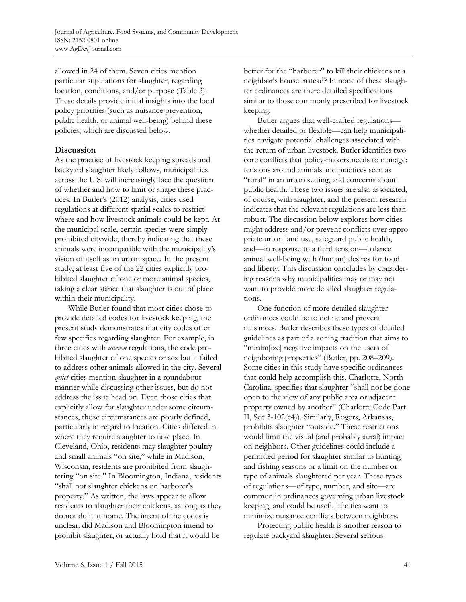allowed in 24 of them. Seven cities mention particular stipulations for slaughter, regarding location, conditions, and/or purpose (Table 3). These details provide initial insights into the local policy priorities (such as nuisance prevention, public health, or animal well-being) behind these policies, which are discussed below.

#### **Discussion**

As the practice of livestock keeping spreads and backyard slaughter likely follows, municipalities across the U.S. will increasingly face the question of whether and how to limit or shape these practices. In Butler's (2012) analysis, cities used regulations at different spatial scales to restrict where and how livestock animals could be kept. At the municipal scale, certain species were simply prohibited citywide, thereby indicating that these animals were incompatible with the municipality's vision of itself as an urban space. In the present study, at least five of the 22 cities explicitly prohibited slaughter of one or more animal species, taking a clear stance that slaughter is out of place within their municipality.

 While Butler found that most cities chose to provide detailed codes for livestock keeping, the present study demonstrates that city codes offer few specifics regarding slaughter. For example, in three cities with *uneven* regulations, the code prohibited slaughter of one species or sex but it failed to address other animals allowed in the city. Several *quiet* cities mention slaughter in a roundabout manner while discussing other issues, but do not address the issue head on. Even those cities that explicitly allow for slaughter under some circumstances, those circumstances are poorly defined, particularly in regard to location. Cities differed in where they require slaughter to take place. In Cleveland, Ohio, residents may slaughter poultry and small animals "on site," while in Madison, Wisconsin, residents are prohibited from slaughtering "on site." In Bloomington, Indiana, residents "shall not slaughter chickens on harborer's property." As written, the laws appear to allow residents to slaughter their chickens, as long as they do not do it at home. The intent of the codes is unclear: did Madison and Bloomington intend to prohibit slaughter, or actually hold that it would be

better for the "harborer" to kill their chickens at a neighbor's house instead? In none of these slaughter ordinances are there detailed specifications similar to those commonly prescribed for livestock keeping.

 Butler argues that well-crafted regulations whether detailed or flexible—can help municipalities navigate potential challenges associated with the return of urban livestock. Butler identifies two core conflicts that policy-makers needs to manage: tensions around animals and practices seen as "rural" in an urban setting, and concerns about public health. These two issues are also associated, of course, with slaughter, and the present research indicates that the relevant regulations are less than robust. The discussion below explores how cities might address and/or prevent conflicts over appropriate urban land use, safeguard public health, and—in response to a third tension—balance animal well-being with (human) desires for food and liberty. This discussion concludes by considering reasons why municipalities may or may not want to provide more detailed slaughter regulations.

 One function of more detailed slaughter ordinances could be to define and prevent nuisances. Butler describes these types of detailed guidelines as part of a zoning tradition that aims to "minim[ize] negative impacts on the users of neighboring properties" (Butler, pp. 208–209). Some cities in this study have specific ordinances that could help accomplish this. Charlotte, North Carolina, specifies that slaughter "shall not be done open to the view of any public area or adjacent property owned by another" (Charlotte Code Part II, Sec 3-102(c4)). Similarly, Rogers, Arkansas, prohibits slaughter "outside." These restrictions would limit the visual (and probably aural) impact on neighbors. Other guidelines could include a permitted period for slaughter similar to hunting and fishing seasons or a limit on the number or type of animals slaughtered per year. These types of regulations—of type, number, and site—are common in ordinances governing urban livestock keeping, and could be useful if cities want to minimize nuisance conflicts between neighbors.

 Protecting public health is another reason to regulate backyard slaughter. Several serious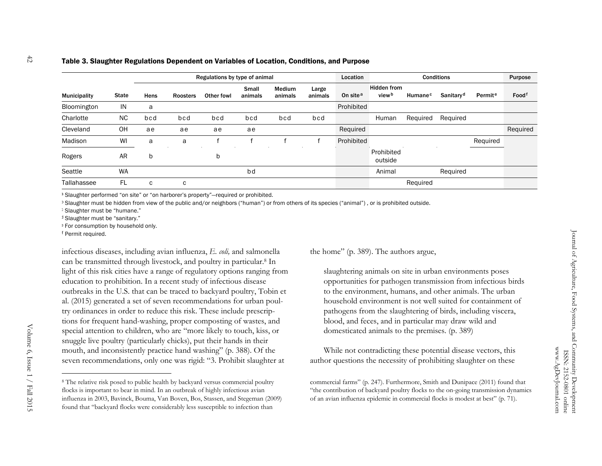#### Table 3. Slaughter Regulations Dependent on Variables of Location, Conditions, and Purpose

|                     |              | Regulations by type of animal |          |            |                  |                          |                  | Location             |                                         | Purpose             |                       |                     |          |
|---------------------|--------------|-------------------------------|----------|------------|------------------|--------------------------|------------------|----------------------|-----------------------------------------|---------------------|-----------------------|---------------------|----------|
| <b>Municipality</b> | <b>State</b> | Hens                          | Roosters | Other fowl | Small<br>animals | <b>Medium</b><br>animals | Large<br>animals | On site <sup>a</sup> | <b>Hidden from</b><br>view <sup>b</sup> | Humane <sup>c</sup> | Sanitary <sup>d</sup> | Permit <sup>e</sup> | Foodf    |
| Bloomington         | IN           | a                             |          |            |                  |                          |                  | Prohibited           |                                         |                     |                       |                     |          |
| Charlotte           | <b>NC</b>    | bcd                           | bcd      | bcd        | bcd              | bcd                      | bcd              |                      | Human                                   | Required            | Required              |                     |          |
| Cleveland           | OH           | ae                            | ae       | ae         | ae               |                          |                  | Required             |                                         |                     |                       |                     | Required |
| Madison             | WI           | a                             | a        |            |                  |                          |                  | Prohibited           |                                         |                     |                       | Required            |          |
| Rogers              | AR           | b                             |          | b          |                  |                          |                  |                      | Prohibited<br>outside                   |                     |                       |                     |          |
| Seattle             | <b>WA</b>    |                               |          |            | bd               |                          |                  |                      | Animal                                  |                     | Required              |                     |          |
| Tallahassee         | FL           | C                             | C        |            |                  |                          |                  |                      |                                         | Required            |                       |                     |          |

a Slaughter performed "on site" or "on harborer's property"—required or prohibited.

**b** Slaughter must be hidden from view of the public and/or neighbors ("human") or from others of its species ("animal"), or is prohibited outside.

c Slaughter must be "humane."

d Slaughter must be "sanitary."

<sup>e</sup> For consumption by household only.

f Permit required.

infectious diseases, including avian influenza, *E. coli,* and salmonella can be transmitted through livestock, and poultry in particular.8 In light of this risk cities have a range of regulatory options ranging from education to prohibition. In a recent study of infectious disease outbreaks in the U.S. that can be traced to backyard poultry, Tobin et al. (2015) generated a set of seven recommendations for urban poultry ordinances in order to reduce this risk. These include prescriptions for frequent hand-washing, proper composting of wastes, and special attention to children, who are "more likely to touch, kiss, or snuggle live poultry (particularly chicks), put their hands in their mouth, and inconsistently practice hand washing" (p. 388). Of the seven recommendations, only one was rigid: "3. Prohibit slaughter at

the home" (p. 389). The authors argue,

slaughtering animals on site in urban environments poses opportunities for pathogen transmission from infectious birds to the environment, humans, and other animals. The urban household environment is not well suited for containment of pathogens from the slaughtering of birds, including viscera, blood, and feces, and in particular may draw wild and domesticated animals to the premises. (p. 389)

 While not contradicting these potential disease vectors, this author questions the necessity of prohibiting slaughter on these

commercial farms" (p. 247). Furthermore, Smith and Dunipace (2011) found that "the contribution of backyard poultry flocks to the on-going transmission dynamics of an avian influenza epidemic in commercial flocks is modest at best" (p. 71).

<sup>8</sup> The relative risk posed to public health by backyard versus commercial poultry flocks is important to bear in mind. In an outbreak of highly infectious avian influenza in 2003, Bavinck, Bouma, Van Boven, Bos, Stassen, and Stegeman (2009) found that "backyard flocks were considerably less susceptible to infection than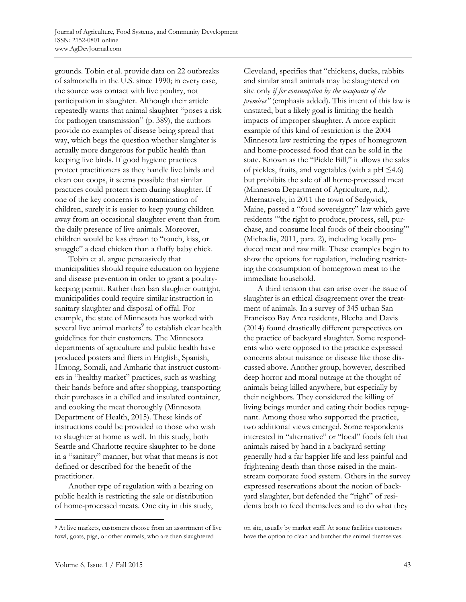grounds. Tobin et al. provide data on 22 outbreaks of salmonella in the U.S. since 1990; in every case, the source was contact with live poultry, not participation in slaughter. Although their article repeatedly warns that animal slaughter "poses a risk for pathogen transmission" (p. 389), the authors provide no examples of disease being spread that way, which begs the question whether slaughter is actually more dangerous for public health than keeping live birds. If good hygiene practices protect practitioners as they handle live birds and clean out coops, it seems possible that similar practices could protect them during slaughter. If one of the key concerns is contamination of children, surely it is easier to keep young children away from an occasional slaughter event than from the daily presence of live animals. Moreover, children would be less drawn to "touch, kiss, or snuggle" a dead chicken than a fluffy baby chick.

 Tobin et al. argue persuasively that municipalities should require education on hygiene and disease prevention in order to grant a poultrykeeping permit. Rather than ban slaughter outright, municipalities could require similar instruction in sanitary slaughter and disposal of offal. For example, the state of Minnesota has worked with several live animal markets<sup>9</sup> to establish clear health guidelines for their customers. The Minnesota departments of agriculture and public health have produced posters and fliers in English, Spanish, Hmong, Somali, and Amharic that instruct customers in "healthy market" practices, such as washing their hands before and after shopping, transporting their purchases in a chilled and insulated container, and cooking the meat thoroughly (Minnesota Department of Health, 2015). These kinds of instructions could be provided to those who wish to slaughter at home as well. In this study, both Seattle and Charlotte require slaughter to be done in a "sanitary" manner, but what that means is not defined or described for the benefit of the practitioner.

 Another type of regulation with a bearing on public health is restricting the sale or distribution of home-processed meats. One city in this study,

Cleveland, specifies that "chickens, ducks, rabbits and similar small animals may be slaughtered on site only *if for consumption by the occupants of the premises"* (emphasis added). This intent of this law is unstated, but a likely goal is limiting the health impacts of improper slaughter. A more explicit example of this kind of restriction is the 2004 Minnesota law restricting the types of homegrown and home-processed food that can be sold in the state. Known as the "Pickle Bill," it allows the sales of pickles, fruits, and vegetables (with a  $pH \leq 4.6$ ) but prohibits the sale of all home-processed meat (Minnesota Department of Agriculture, n.d.). Alternatively, in 2011 the town of Sedgwick, Maine, passed a "food sovereignty" law which gave residents "'the right to produce, process, sell, purchase, and consume local foods of their choosing'" (Michaelis, 2011, para. 2), including locally produced meat and raw milk. These examples begin to show the options for regulation, including restricting the consumption of homegrown meat to the immediate household.

 A third tension that can arise over the issue of slaughter is an ethical disagreement over the treatment of animals. In a survey of 345 urban San Francisco Bay Area residents, Blecha and Davis (2014) found drastically different perspectives on the practice of backyard slaughter. Some respondents who were opposed to the practice expressed concerns about nuisance or disease like those discussed above. Another group, however, described deep horror and moral outrage at the thought of animals being killed anywhere, but especially by their neighbors. They considered the killing of living beings murder and eating their bodies repugnant. Among those who supported the practice, two additional views emerged. Some respondents interested in "alternative" or "local" foods felt that animals raised by hand in a backyard setting generally had a far happier life and less painful and frightening death than those raised in the mainstream corporate food system. Others in the survey expressed reservations about the notion of backyard slaughter, but defended the "right" of residents both to feed themselves and to do what they

<sup>&</sup>lt;sup>9</sup> At live markets, customers choose from an assortment of live fowl, goats, pigs, or other animals, who are then slaughtered

on site, usually by market staff. At some facilities customers have the option to clean and butcher the animal themselves.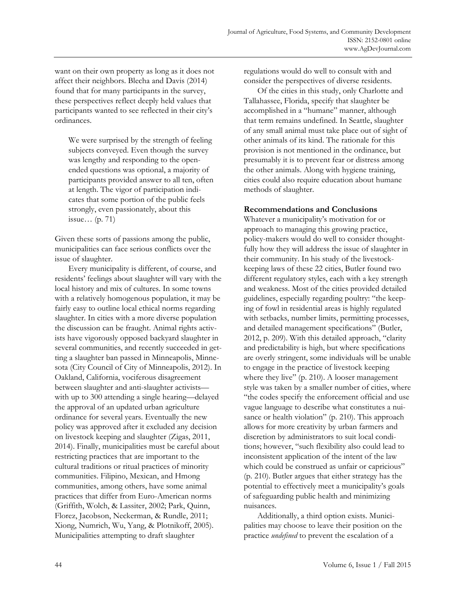want on their own property as long as it does not affect their neighbors. Blecha and Davis (2014) found that for many participants in the survey, these perspectives reflect deeply held values that participants wanted to see reflected in their city's ordinances.

We were surprised by the strength of feeling subjects conveyed. Even though the survey was lengthy and responding to the openended questions was optional, a majority of participants provided answer to all ten, often at length. The vigor of participation indicates that some portion of the public feels strongly, even passionately, about this issue… (p. 71)

Given these sorts of passions among the public, municipalities can face serious conflicts over the issue of slaughter.

 Every municipality is different, of course, and residents' feelings about slaughter will vary with the local history and mix of cultures. In some towns with a relatively homogenous population, it may be fairly easy to outline local ethical norms regarding slaughter. In cities with a more diverse population the discussion can be fraught. Animal rights activists have vigorously opposed backyard slaughter in several communities, and recently succeeded in getting a slaughter ban passed in Minneapolis, Minnesota (City Council of City of Minneapolis, 2012). In Oakland, California, vociferous disagreement between slaughter and anti-slaughter activists with up to 300 attending a single hearing—delayed the approval of an updated urban agriculture ordinance for several years. Eventually the new policy was approved after it excluded any decision on livestock keeping and slaughter (Zigas, 2011, 2014). Finally, municipalities must be careful about restricting practices that are important to the cultural traditions or ritual practices of minority communities. Filipino, Mexican, and Hmong communities, among others, have some animal practices that differ from Euro-American norms (Griffith, Wolch, & Lassiter, 2002; Park, Quinn, Florez, Jacobson, Neckerman, & Rundle, 2011; Xiong, Numrich, Wu, Yang, & Plotnikoff, 2005). Municipalities attempting to draft slaughter

regulations would do well to consult with and consider the perspectives of diverse residents.

 Of the cities in this study, only Charlotte and Tallahassee, Florida, specify that slaughter be accomplished in a "humane" manner, although that term remains undefined. In Seattle, slaughter of any small animal must take place out of sight of other animals of its kind. The rationale for this provision is not mentioned in the ordinance, but presumably it is to prevent fear or distress among the other animals. Along with hygiene training, cities could also require education about humane methods of slaughter.

#### **Recommendations and Conclusions**

Whatever a municipality's motivation for or approach to managing this growing practice, policy-makers would do well to consider thoughtfully how they will address the issue of slaughter in their community. In his study of the livestockkeeping laws of these 22 cities, Butler found two different regulatory styles, each with a key strength and weakness. Most of the cities provided detailed guidelines, especially regarding poultry: "the keeping of fowl in residential areas is highly regulated with setbacks, number limits, permitting processes, and detailed management specifications" (Butler, 2012, p. 209). With this detailed approach, "clarity and predictability is high, but where specifications are overly stringent, some individuals will be unable to engage in the practice of livestock keeping where they live" (p. 210). A looser management style was taken by a smaller number of cities, where "the codes specify the enforcement official and use vague language to describe what constitutes a nuisance or health violation" (p. 210). This approach allows for more creativity by urban farmers and discretion by administrators to suit local conditions; however, "such flexibility also could lead to inconsistent application of the intent of the law which could be construed as unfair or capricious" (p. 210). Butler argues that either strategy has the potential to effectively meet a municipality's goals of safeguarding public health and minimizing nuisances.

 Additionally, a third option exists. Municipalities may choose to leave their position on the practice *undefined* to prevent the escalation of a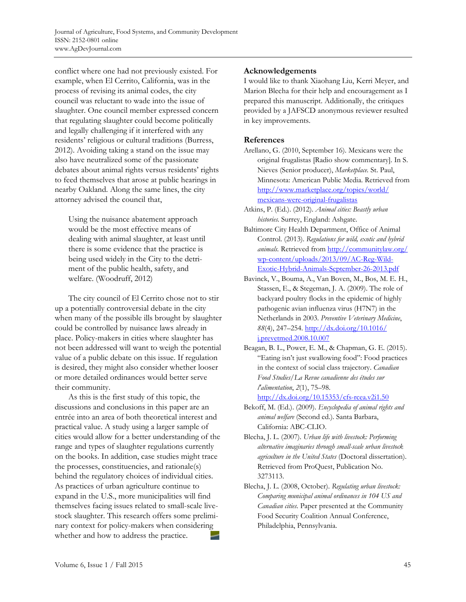conflict where one had not previously existed. For example, when El Cerrito, California, was in the process of revising its animal codes, the city council was reluctant to wade into the issue of slaughter. One council member expressed concern that regulating slaughter could become politically and legally challenging if it interfered with any residents' religious or cultural traditions (Burress, 2012). Avoiding taking a stand on the issue may also have neutralized some of the passionate debates about animal rights versus residents' rights to feed themselves that arose at public hearings in nearby Oakland. Along the same lines, the city attorney advised the council that,

Using the nuisance abatement approach would be the most effective means of dealing with animal slaughter, at least until there is some evidence that the practice is being used widely in the City to the detriment of the public health, safety, and welfare. (Woodruff, 2012)

 The city council of El Cerrito chose not to stir up a potentially controversial debate in the city when many of the possible ills brought by slaughter could be controlled by nuisance laws already in place. Policy-makers in cities where slaughter has not been addressed will want to weigh the potential value of a public debate on this issue. If regulation is desired, they might also consider whether looser or more detailed ordinances would better serve their community.

 As this is the first study of this topic, the discussions and conclusions in this paper are an entrée into an area of both theoretical interest and practical value. A study using a larger sample of cities would allow for a better understanding of the range and types of slaughter regulations currently on the books. In addition, case studies might trace the processes, constituencies, and rationale(s) behind the regulatory choices of individual cities. As practices of urban agriculture continue to expand in the U.S., more municipalities will find themselves facing issues related to small-scale livestock slaughter. This research offers some preliminary context for policy-makers when considering whether and how to address the practice.

### **Acknowledgements**

I would like to thank Xiaohang Liu, Kerri Meyer, and Marion Blecha for their help and encouragement as I prepared this manuscript. Additionally, the critiques provided by a JAFSCD anonymous reviewer resulted in key improvements.

### **References**

- Arellano, G. (2010, September 16). Mexicans were the original frugalistas [Radio show commentary]. In S. Nieves (Senior producer), *Marketplace.* St. Paul, Minnesota: American Public Media. Retrieved from [http://www.marketplace.org/topics/world/](http://www.marketplace.org/topics/world/mexicans-were-original-frugalistas) mexicans-were-original-frugalistas
- Atkins, P. (Ed.). (2012). *Animal cities: Beastly urban histories*. Surrey, England: Ashgate.
- Baltimore City Health Department, Office of Animal Control. (2013). *Regulations for wild, exotic and hybrid animals.* Retrieved from http://communitylaw.org/ wp-content/uploads/2013/09/AC-Reg-Wild-[Exotic-Hybrid-Animals-September-26-2013.pdf](http://communitylaw.org/wp-content/uploads/2013/09/AC-Reg-Wild-Exotic-Hybrid-Animals-September-26-2013.pdf)
- Bavinck, V., Bouma, A., Van Boven, M., Bos, M. E. H., Stassen, E., & Stegeman, J. A. (2009). The role of backyard poultry flocks in the epidemic of highly pathogenic avian influenza virus (H7N7) in the Netherlands in 2003. *Preventive Veterinary Medicine*, *88*[\(4\), 247–254. http://dx.doi.org/10.1016/](http://dx.doi.org/10.1016/j.prevetmed.2008.10.007)  j.prevetmed.2008.10.007
- Beagan, B. L., Power, E. M., & Chapman, G. E. (2015). "Eating isn't just swallowing food": Food practices in the context of social class trajectory. *Canadian Food Studies/La Revue canadienne des études sur l'alimentation*, *2*(1), 75–98. http://dx.doi.org/10.15353/cfs-rcea.v2i1.50
- Bekoff, M. (Ed.). (2009). *Encyclopedia of animal rights and animal welfare* (Second ed.). Santa Barbara, California: ABC-CLIO.
- Blecha, J. L. (2007). *Urban life with livestock: Performing alternative imaginaries through small-scale urban livestock agriculture in the United States* (Doctoral dissertation). Retrieved from ProQuest, Publication No. 3273113.
- Blecha, J. L. (2008, October). *Regulating urban livestock: Comparing municipal animal ordinances in 104 US and Canadian cities*. Paper presented at the Community Food Security Coalition Annual Conference, Philadelphia, Pennsylvania.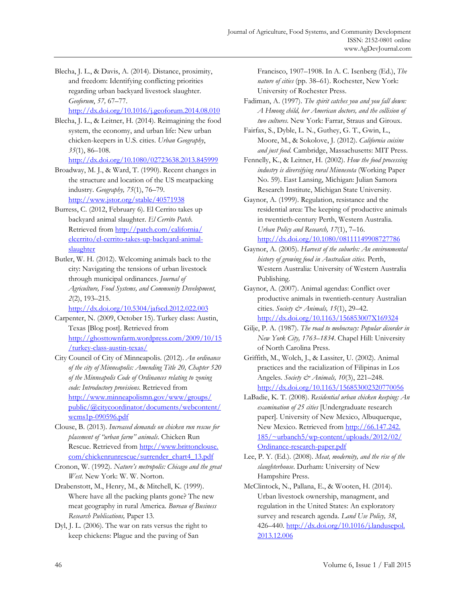Blecha, J. L., & Davis, A. (2014). Distance, proximity, and freedom: Identifying conflicting priorities regarding urban backyard livestock slaughter. *Geoforum*, *57,* 67–77. http://dx.doi.org/10.1016/j.geoforum.2014.08.010

Blecha, J. L., & Leitner, H. (2014). Reimagining the food system, the economy, and urban life: New urban chicken-keepers in U.S. cities. *Urban Geography*, *35*(1), 86–108.

http://dx.doi.org/10.1080/02723638.2013.845999

- Broadway, M. J., & Ward, T. (1990). Recent changes in the structure and location of the US meatpacking industry. *Geography, 75*(1), 76–79. http://www.jstor.org/stable/40571938
- Burress, C. (2012, February 6). El Cerrito takes up backyard animal slaughter. *El Cerrito Patch*. [Retrieved from http://patch.com/california/](http://patch.com/california/elcerrito/el-cerrito-takes-up-backyard-animal-slaughter)  elcerrito/el-cerrito-takes-up-backyard-animalslaughter
- Butler, W. H. (2012). Welcoming animals back to the city: Navigating the tensions of urban livestock through municipal ordinances. *Journal of Agriculture, Food Systems, and Community Development*, *2*(2), 193–215.

http://dx.doi.org/10.5304/jafscd.2012.022.003

Carpenter, N. (2009, October 15). Turkey class: Austin, Texas [Blog post]. Retrieved from [http://ghosttownfarm.wordpress.com/2009/10/15](http://ghosttownfarm.wordpress.com/2009/10/15/turkey-class-austin-texas/) /turkey-class-austin-texas/

- City Council of City of Minneapolis. (2012). *An ordinance of the city of Minneapolis: Amending Title 20, Chapter 520 of the Minneapolis Code of Ordinances relating to zoning code: Introductory provisions.* Retrieved from http://www.minneapolismn.gov/www/groups/ [public/@citycoordinator/documents/webcontent/](http://www.minneapolismn.gov/www/groups/public/@citycoordinator/documents/webcontent/wcms1p-090596.pdf) wcms1p-090596.pdf
- Clouse, B. (2013). *Increased demands on chicken run rescue for placement of "urban farm" animals*. Chicken Run [Rescue. Retrieved from http://www.brittonclouse.](http://www.brittonclouse.com/chickenrunrescue/surrender_chart4_13.pdf) com/chickenrunrescue/surrender\_chart4\_13.pdf
- Cronon, W. (1992). *Nature's metropolis: Chicago and the great West*. New York: W. W. Norton.

Drabenstott, M., Henry, M., & Mitchell, K. (1999). Where have all the packing plants gone? The new meat geography in rural America. *Bureau of Business Research Publications,* Paper 13*.* 

Dyl, J. L. (2006). The war on rats versus the right to keep chickens: Plague and the paving of San

Francisco, 1907–1908. In A. C. Isenberg (Ed.), *The nature of cities* (pp. 38–61). Rochester, New York: University of Rochester Press.

Fadiman, A. (1997). *The spirit catches you and you fall down: A Hmong child, her American doctors, and the collision of two cultures*. New York: Farrar, Straus and Giroux.

Fairfax, S., Dyble, L. N., Guthey, G. T., Gwin, L., Moore, M., & Sokolove, J. (2012). *California cuisine and just food*. Cambridge, Massachusetts: MIT Press.

Fennelly, K., & Leitner, H. (2002). *How the food processing industry is diversifying rural Minnesota* (Working Paper No. 59). East Lansing, Michigan: Julian Samora Research Institute, Michigan State University.

Gaynor, A. (1999). Regulation, resistance and the residential area: The keeping of productive animals in twentieth-century Perth, Western Australia. *Urban Policy and Research, 17*(1), 7–16.

http://dx.doi.org/10.1080/08111149908727786

Gaynor, A. (2005). *Harvest of the suburbs: An environmental history of growing food in Australian cities.* Perth, Western Australia: University of Western Australia Publishing.

Gaynor, A. (2007). Animal agendas: Conflict over productive animals in twentieth-century Australian cities. *Society & Animals, 15*(1), 29–42. http://dx.doi.org/10.1163/156853007X169324

- Lee, P. Y. (Ed.). (2008). *Meat, modernity, and the rise of the slaughterhouse*. Durham: University of New Hampshire Press.
- McClintock, N., Pallana, E., & Wooten, H. (2014). Urban livestock ownership, managment, and regulation in the United States: An exploratory survey and research agenda. *Land Use Policy, 38*, [426–440. http://dx.doi.org/10.1016/j.landusepol.](http://dx.doi.org/10.1016/j.landusepol.2013.12.006) 2013.12.006

Gilje, P. A. (1987). *The road to mobocracy: Popular disorder in New York City, 1763–1834*. Chapel Hill: University of North Carolina Press.

Griffith, M., Wolch, J., & Lassiter, U. (2002). Animal practices and the racialization of Filipinas in Los Angeles. *Society & Animals, 10*(3), 221–248. http://dx.doi.org/10.1163/156853002320770056

LaBadie, K. T. (2008). *Residential urban chicken keeping: An examination of 25 cities* [Undergraduate research paper]. University of New Mexico, Albuquerque, [New Mexico. Retrieved from http://66.147.242.](http://66.147.242.185/~urbanch5/wp-content/uploads/2012/02/Ordinance-research-paper.pdf)  185/~urbanch5/wp-content/uploads/2012/02/ Ordinance-research-paper.pdf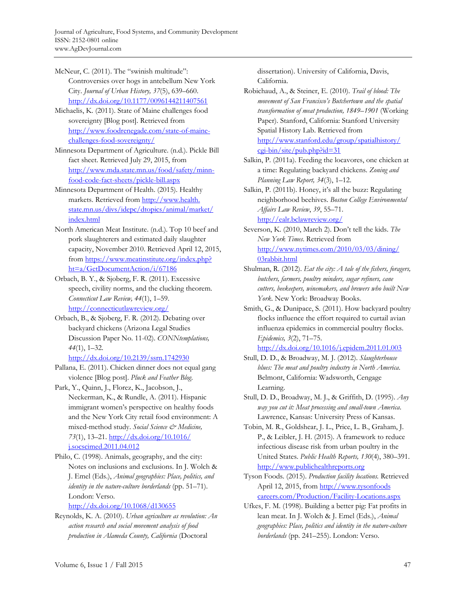McNeur, C. (2011). The "swinish multitude": Controversies over hogs in antebellum New York City. *Journal of Urban History, 37*(5), 639–660. http://dx.doi.org/10.1177/0096144211407561

Michaelis, K. (2011). State of Maine challenges food sovereignty [Blog post]. Retrieved from http://www.foodrenegade.com/state-of-mainechallenges-food-sovereignty/

Minnesota Department of Agriculture. (n.d.). Pickle Bill fact sheet. Retrieved July 29, 2015, from http://www.mda.state.mn.us/food/safety/minnfood-code-fact-sheets/pickle-bill.aspx

Minnesota Department of Health. (2015). Healthy markets. Retrieved from http://www.health. [state.mn.us/divs/idepc/dtopics/animal/market/](http://www.health.state.mn.us/divs/idepc/dtopics/animal/market/index.html) index.html

North American Meat Institute. (n.d.). Top 10 beef and pork slaughterers and estimated daily slaughter capacity, November 2010. Retrieved April 12, 2015, [from https://www.meatinstitute.org/index.php?](https://www.meatinstitute.org/index.php?ht=a/GetDocumentAction/i/67186) ht=a/GetDocumentAction/i/67186

Orbach, B. Y., & Sjoberg, F. R. (2011). Excessive speech, civility norms, and the clucking theorem. *Connecticut Law Review, 44*(1), 1–59. http://connecticutlawreview.org/

Orbach, B., & Sjoberg, F. R. (2012). Debating over backyard chickens (Arizona Legal Studies Discussion Paper No. 11-02). *CONNtemplations, 44*(1), 1–32.

http://dx.doi.org/10.2139/ssrn.1742930

Pallana, E. (2011). Chicken dinner does not equal gang violence [Blog post]. *Pluck and Feather Blog*.

Park, Y., Quinn, J., Florez, K., Jacobson, J., Neckerman, K., & Rundle, A. (2011). Hispanic immigrant women's perspective on healthy foods and the New York City retail food environment: A mixed-method study. *Social Science & Medicine, 73*[\(1\), 13–21. http://dx.doi.org/10.1016/](http://dx.doi.org/10.1016/j.socscimed.2011.04.012)  j.socscimed.2011.04.012

Philo, C. (1998). Animals, geography, and the city: Notes on inclusions and exclusions. In J. Wolch & J. Emel (Eds.), *Animal geographies: Place, politics, and identity in the nature-culture borderlands* (pp. 51–71). London: Verso.

http://dx.doi.org/10.1068/d130655

Reynolds, K. A. (2010). *Urban agriculture as revolution: An action research and social movement analysis of food production in Alameda County, California* (Doctoral

dissertation). University of California, Davis, California.

Robichaud, A., & Steiner, E. (2010). *Trail of blood: The movement of San Francisco's Butchertown and the spatial transformation of meat production, 1849*–*1901* (Working Paper). Stanford, California: Stanford University Spatial History Lab. Retrieved from [http://www.stanford.edu/group/spatialhistory/](http://www.stanford.edu/group/spatialhistory/cgi-bin/site/pub.php?id=31) cgi-bin/site/pub.php?id=31

Salkin, P. (2011a). Feeding the locavores, one chicken at a time: Regulating backyard chickens. *Zoning and Planning Law Report, 34*(3), 1–12.

Salkin, P. (2011b). Honey, it's all the buzz: Regulating neighborhood beehives. *Boston College Environmental Affairs Law Review*, *39*, 55–71. http://ealr.bclawreview.org/

Severson, K. (2010, March 2). Don't tell the kids. *The New York Times*. Retrieved from [http://www.nytimes.com/2010/03/03/dining/](http://www.nytimes.com/2010/03/03/dining/03rabbit.html)  03rabbit.html

- Shulman, R. (2012). *Eat the city: A tale of the fishers, foragers, butchers, farmers, poultry minders, sugar refiners, cane cutters, beekeepers, winemakers, and brewers who built New York*. New York: Broadway Books.
- Smith, G., & Dunipace, S. (2011). How backyard poultry flocks influence the effort required to curtail avian influenza epidemics in commercial poultry flocks. *Epidemics, 3*(2), 71–75.

http://dx.doi.org/10.1016/j.epidem.2011.01.003

Stull, D. D., & Broadway, M. J. (2012). *Slaughterhouse blues: The meat and poultry industry in North America*. Belmont, California: Wadsworth, Cengage Learning.

Stull, D. D., Broadway, M. J., & Griffith, D. (1995). *Any way you cut it: Meat processing and small-town America*. Lawrence, Kansas: University Press of Kansas.

Tobin, M. R., Goldshear, J. L., Price, L. B., Graham, J. P., & Leibler, J. H. (2015). A framework to reduce infectious disease risk from urban poultry in the United States. *Public Health Reports, 130*(4), 380–391. http://www.publichealthreports.org

Tyson Foods. (2015). *Production facility locations.* Retrieved April 12, 2015, from http://www.tysonfoods [careers.com/Production/Facility-Locations.aspx](http://www.tysonfoodscareers.com/Production/Facility-Locations.aspx)

Ufkes, F. M. (1998). Building a better pig: Fat profits in lean meat. In J. Wolch & J. Emel (Eds.), *Animal geographies: Place, politics and identity in the nature-culture borderlands* (pp. 241–255). London: Verso.